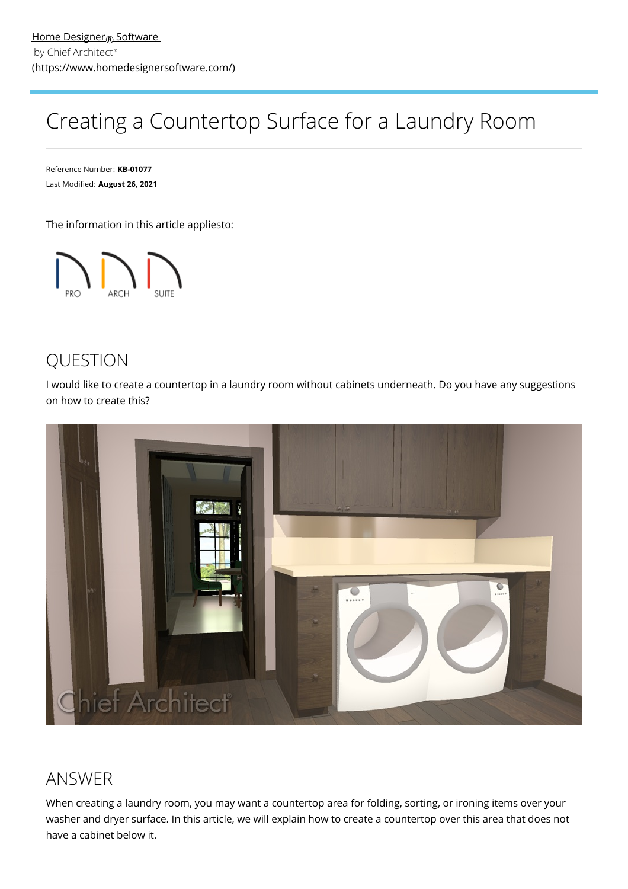## Creating a Countertop Surface for a Laundry Room

Reference Number: **KB-01077** Last Modified: **August 26, 2021**

The information in this article appliesto:



## QUESTION

I would like to create a countertop in a laundry room without cabinets underneath. Do you have any suggestions on how to create this?



## ANSWER

When creating a laundry room, you may want a countertop area for folding, sorting, or ironing items over your washer and dryer surface. In this article, we will explain how to create a countertop over this area that does not have a cabinet below it.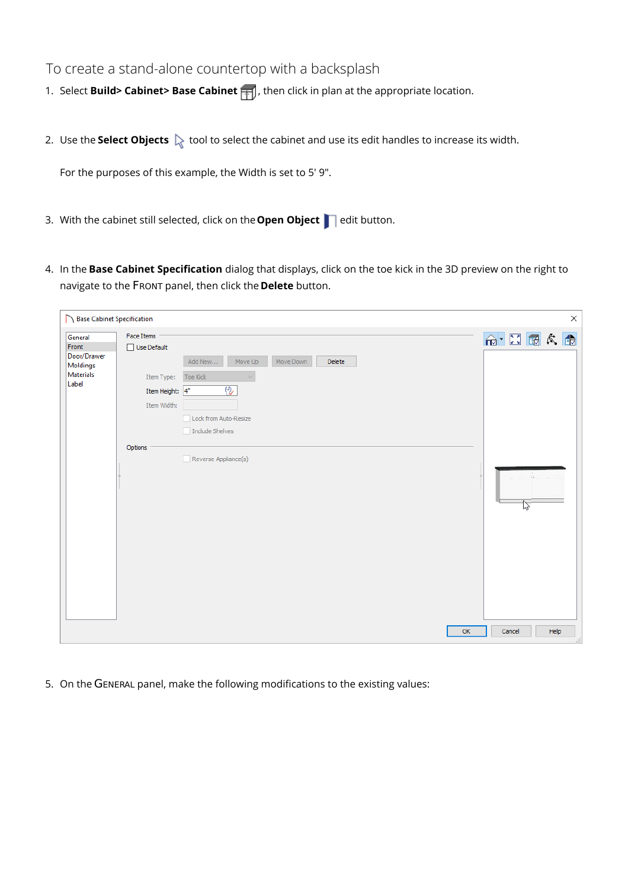## To create a stand-alone countertop with a backsplash

- 1. Select **Build> Cabinet> Base Cabinet** , then click in plan at the appropriate location.
- 2. Use the **Select Objects**  $\&$  tool to select the cabinet and use its edit handles to increase its width.

For the purposes of this example, the Width is set to 5' 9".

- 3. With the cabinet still selected, click on the **Open Object** edit button.
- 4. In the **Base Cabinet Specification** dialog that displays, click on the toe kick in the 3D preview on the right to navigate to the FRONT panel, then click the **Delete** button.

5. On the GENERAL panel, make the following modifications to the existing values: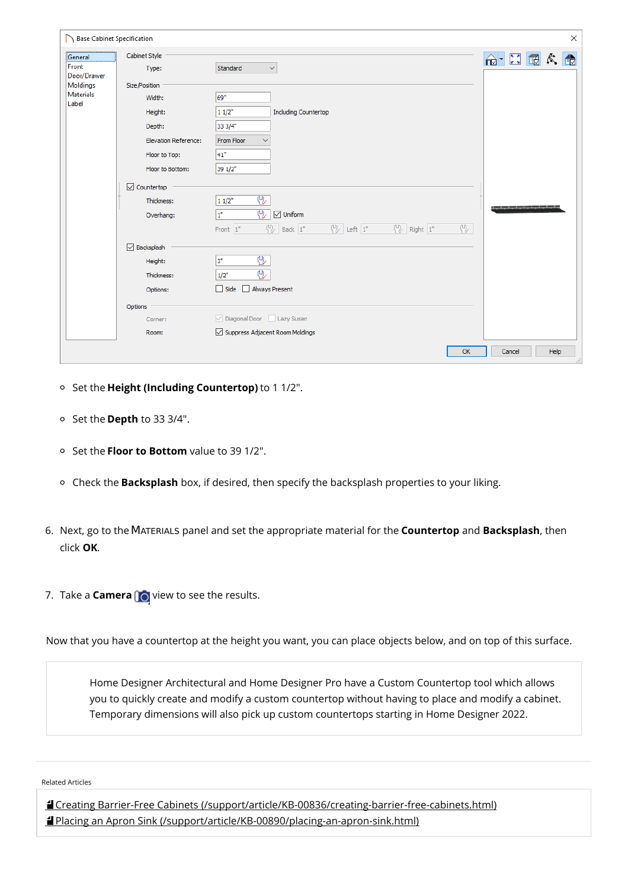| Base Cabinet Specification   |                                 |                                                                                                                                 | $\times$                                 |
|------------------------------|---------------------------------|---------------------------------------------------------------------------------------------------------------------------------|------------------------------------------|
| General                      | Cabinet Style                   |                                                                                                                                 | $\bigoplus$ $\Box$ $\Box$ $\land$ $\Box$ |
| Front                        | Type:                           | Standard<br>$\checkmark$                                                                                                        |                                          |
| Door/Drawer                  |                                 |                                                                                                                                 |                                          |
| Moldings<br><b>Materials</b> | Size/Position                   |                                                                                                                                 |                                          |
| Label                        | Width:                          | 69"                                                                                                                             |                                          |
|                              | Height:                         | <b>Including Countertop</b><br>11/2"                                                                                            |                                          |
|                              | Depth:                          | 33 3/4"                                                                                                                         |                                          |
|                              | <b>Elevation Reference:</b>     | From Floor                                                                                                                      |                                          |
|                              | Floor to Top:                   | 41"                                                                                                                             |                                          |
|                              | Floor to Bottom:                | 39 1/2"                                                                                                                         |                                          |
|                              | $\sqrt{\phantom{a}}$ Countertop |                                                                                                                                 |                                          |
|                              | Thickness:                      | ₩<br>11/2"                                                                                                                      | ____                                     |
|                              | Overhang:                       | 见<br>It.<br>$\boxed{\smile}$ Uniform                                                                                            |                                          |
|                              |                                 | $\bigcup_{k=1}^{\infty}$ Left $1^*$ $\bigcup_{k=1}^{\infty}$ Right $1^*$<br><b>T</b><br>$\frac{10}{2}$ Back $1$ "<br>Front $1"$ |                                          |
|                              | $\sqrt{}$ Backsplash            |                                                                                                                                 |                                          |
|                              | Height:                         | ₩<br>3"                                                                                                                         |                                          |
|                              | Thickness:                      | ⊕<br>1/2"                                                                                                                       |                                          |
|                              | Options:                        | Always Present<br>$\Box$ Side                                                                                                   |                                          |
|                              | Options                         |                                                                                                                                 |                                          |
|                              | Corner:                         | Diagonal Door   Lazy Susan                                                                                                      |                                          |
|                              | Room:                           | ○ Suppress Adjacent Room Moldings                                                                                               |                                          |
|                              |                                 | OK                                                                                                                              | Help<br>Cancel                           |

- Set the **Height (Including Countertop)** to 1 1/2".
- Set the **Depth** to 33 3/4".
- Set the **Floor to Bottom** value to 39 1/2".
- Check the **Backsplash** box, if desired, then specify the backsplash properties to your liking.
- 6. Next, go to theMATERIALS panel and set the appropriate material for the **Countertop** and **Backsplash**, then click **OK**.
- 7. Take a **Camera O** view to see the results.

Now that you have a countertop at the height you want, you can place objects below, and on top of this surface.

Home Designer Architectural and Home Designer Pro have a Custom Countertop tool which allows you to quickly create and modify a custom countertop without having to place and modify a cabinet. Temporary dimensions will also pick up custom countertops starting in Home Designer 2022.

Related Articles

Creating Barrier-Free Cabinets [\(/support/article/KB-00836/creating-barrier-free-cabinets.html\)](file:///support/article/KB-00836/creating-barrier-free-cabinets.html) Placing an Apron Sink [\(/support/article/KB-00890/placing-an-apron-sink.html\)](file:///support/article/KB-00890/placing-an-apron-sink.html)